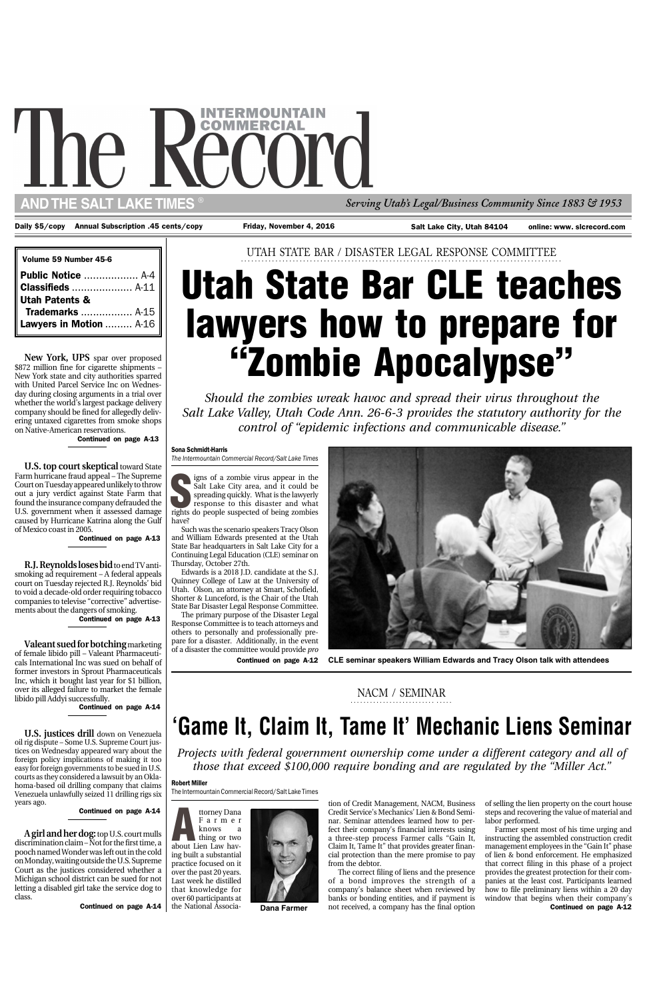*Should the zombies wreak havoc and spread their virus throughout the Salt Lake Valley, Utah Code Ann. 26-6-3 provides the statutory authority for the control of "epidemic infections and communicable disease."*

UTAH STATE BAR / DISASTER LEGAL RESPONSE COMMITTEE **.............................................................................................**

## Sona Schmidt-Harris

*The Intermountain Commercial Record/Salt Lake Times*

Continued on page A-12



Continued on page A-13

## **'Game It, Claim It, Tame It' Mechanic Liens Seminar**

### **.......................... .....** NACM / SEMINAR

*Projects with federal government ownership come under a different category and all of*

*those that exceed \$100,000 require bonding and are regulated by the "Miller Act."*

#### Robert Miller

The Intermountain Commercial Record/Salt Lake Times

# The I

**AND THE SALT LAKE TIMES**

| Volume 59 Number 45-6         |  |
|-------------------------------|--|
|                               |  |
|                               |  |
|                               |  |
|                               |  |
| <b>Lawyers in Motion</b> A-16 |  |

*Serving Utah's Legal/Business Community Since 1883 & 1953* ®

Daily \$5/copy Annual Subscription .45 cents/copy Friday, November 4, 2016 Salt Lake City, Utah 84104

Continued on page A-13

Continued on page A-13

Continued on page A-14

**SERGE SERGE SERGE SERGE SPACE SPACE SPACE SPACE SPACE SPACE SPACE SPACE SPACE SPACE SPACE SPACE SPACE SPACE SPACE SPACE SPACE SPACE SPACE SPACE SPACE SPACE SPACE SPACE SPACE SPACE SPACE SPACE SPACE SPACE SPACE SPACE SPACE** igns of a zombie virus appear in the Salt Lake City area, and it could be spreading quickly. What is the lawyerly response to this disaster and what have?

**A girl and her dog:** top U.S. court mulls discrimination claim – Not for the first time, a pooch named Wonder was left out in the cold on Monday, waiting outside the U.S. Supreme Court as the justices considered whether a Michigan school district can be sued for not letting a disabled girl take the service dog to class.

online: www. slcrecord.com

**U.S. top court skeptical** toward State Farm hurricane fraud appeal – The Supreme Court on Tuesday appeared unlikely to throw out a jury verdict against State Farm that found the insurance company defrauded the U.S. government when it assessed damage caused by Hurricane Katrina along the Gulf of Mexico coast in 2005.

**R.J. Reynolds loses bid** to end TV antismoking ad requirement – A federal appeals court on Tuesday rejected R.J. Reynolds' bid to void a decade-old order requiring tobacco companies to televise "corrective" advertisements about the dangers of smoking.

## **Utah State Bar CLE teaches lawyers how to prepare for "Zombie Apocalypse"**



**U.S. justices drill** down on Venezuela oil rig dispute – Some U.S. Supreme Court justices on Wednesday appeared wary about the foreign policy implications of making it too easy for foreign governments to be sued in U.S. courts as they considered a lawsuit by an Oklahoma-based oil drilling company that claims Venezuela unlawfully seized 11 drilling rigs six years ago.

**CLE seminar speakers William Edwards and Tracy Olson talk with attendees**

Such was the scenario speakers Tracy Olson and William Edwards presented at the Utah State Bar headquarters in Salt Lake City for a Continuing Legal Education (CLE) seminar on Thursday, October 27th.

Edwards is a 2018 J.D. candidate at the S.J. Quinney College of Law at the University of Utah. Olson, an attorney at Smart, Schofield, Shorter & Lunceford, is the Chair of the Utah State Bar Disaster Legal Response Committee.

The primary purpose of the Disaster Legal Response Committee is to teach attorneys and others to personally and professionally prepare for a disaster. Additionally, in the event of a disaster the committee would provide *pro*

Continued on page A-12

**Dana Farmer**

tion of Credit Management, NACM, Business Credit Service's Mechanics' Lien & Bond Seminar. Seminar attendees learned how to perfect their company's financial interests using a three-step process Farmer calls "Gain It, Claim It, Tame It" that provides greater financial protection than the mere promise to pay from the debtor.

The correct filing of liens and the presence of a bond improves the strength of a company's balance sheet when reviewed by banks or bonding entities, and if payment is not received, a company has the final option of selling the lien property on the court house steps and recovering the value of material and labor performed.

Farmer spent most of his time urging and instructing the assembled construction credit management employees in the "Gain It" phase of lien & bond enforcement. He emphasized that correct filing in this phase of a project provides the greatest protection for their companies at the least cost. Participants learned how to file preliminary liens within a 20 day window that begins when their company's

**New York, UPS** spar over proposed \$872 million fine for cigarette shipments – New York state and city authorities sparred with United Parcel Service Inc on Wednesday during closing arguments in a trial over whether the world's largest package delivery company should be fined for allegedly delivering untaxed cigarettes from smoke shops on Native-American reservations.

**Valeant sued for botching** marketing of female libido pill – Valeant Pharmaceuticals International Inc was sued on behalf of former investors in Sprout Pharmaceuticals Inc, which it bought last year for \$1 billion, over its alleged failure to market the female libido pill Addyi successfully.

Continued on page A-14

Continued on page A-14